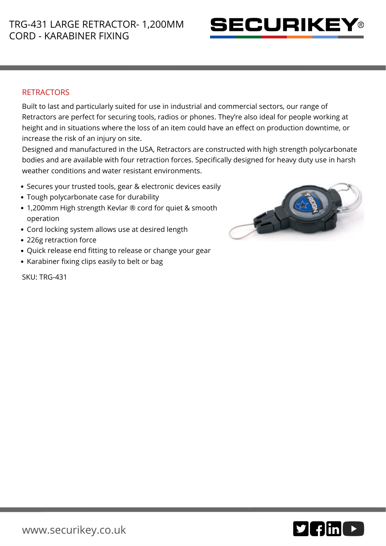

## **RETRACTORS**

Built to last and particularly suited for use in industrial and commercial sectors, our range of Retractors are perfect for securing tools, radios or phones. They're also ideal for people working at height and in situations where the loss of an item could have an effect on production downtime, or increase the risk of an injury on site.

Designed and manufactured in the USA, Retractors are constructed with high strength polycarbonate bodies and are available with four retraction forces. Specifically designed for heavy duty use in harsh weather conditions and water resistant environments.

- Secures your trusted tools, gear & electronic devices easily
- Tough polycarbonate case for durability
- 1,200mm High strength Kevlar ® cord for quiet & smooth operation
- Cord locking system allows use at desired length
- 226g retraction force
- Quick release end fitting to release or change your gear
- Karabiner fixing clips easily to belt or bag

SKU: TRG-431

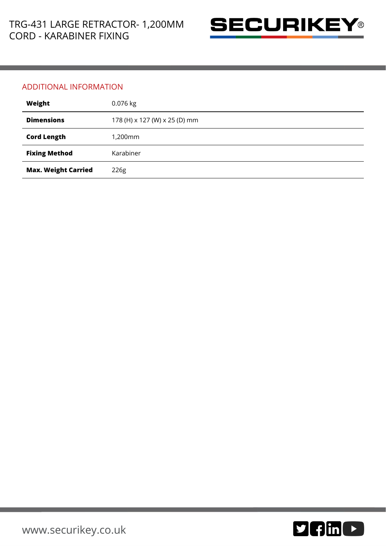

## ADDITIONAL INFORMATION

| Weight                     | 0.076 kg                      |
|----------------------------|-------------------------------|
| <b>Dimensions</b>          | 178 (H) x 127 (W) x 25 (D) mm |
| <b>Cord Length</b>         | 1,200mm                       |
| <b>Fixing Method</b>       | Karabiner                     |
| <b>Max. Weight Carried</b> | 226g                          |

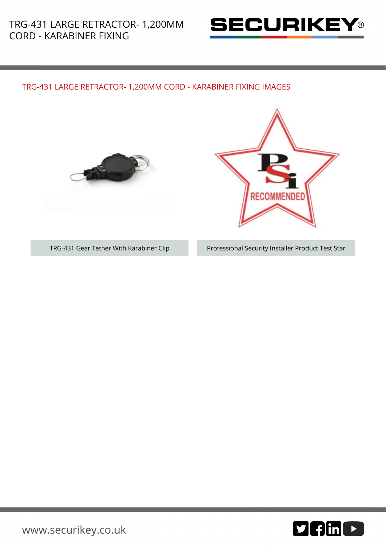

## TRG-431 LARGE RETRACTOR- 1,200MM CORD - KARABINER FIXING IMAGES





TRG-431 Gear Tether With Karabiner Clip Professional Security Installer Product Test Star